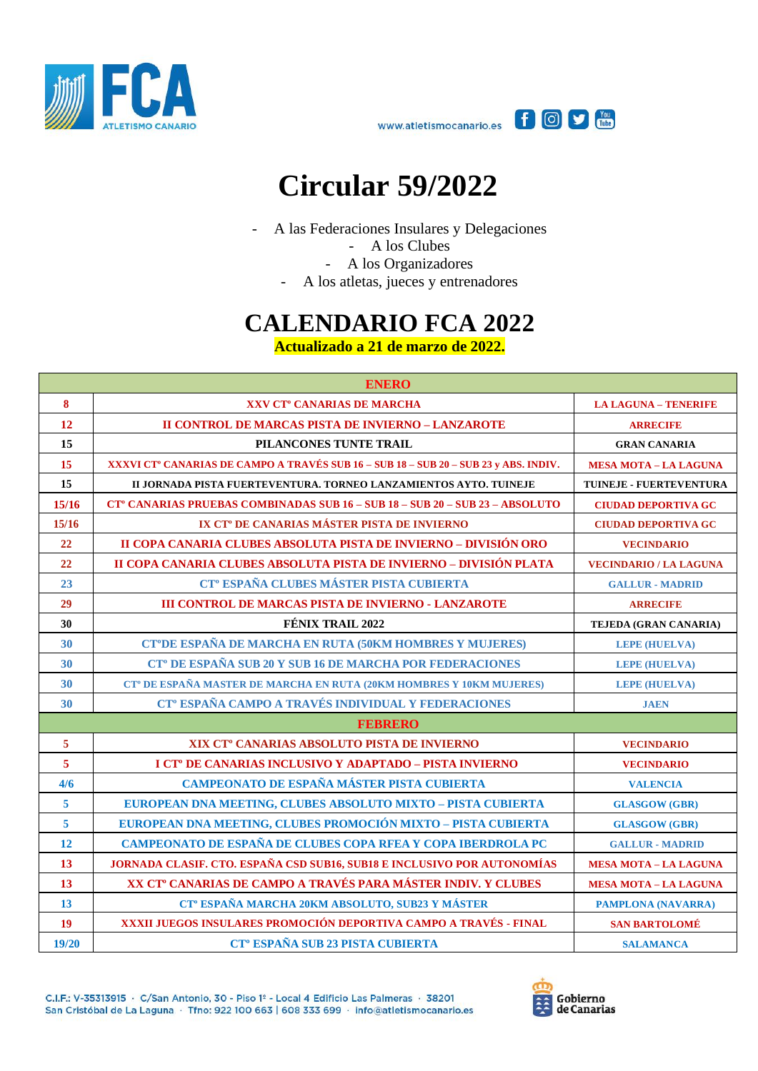



## **Circular 59/2022**

- A las Federaciones Insulares y Delegaciones

- A los Clubes
- A los Organizadores
- A los atletas, jueces y entrenadores

## **CALENDARIO FCA 2022**

**Actualizado a 21 de marzo de 2022.**

| <b>ENERO</b> |                                                                                                  |                                |
|--------------|--------------------------------------------------------------------------------------------------|--------------------------------|
| $\bf{8}$     | XXV CT <sup>°</sup> CANARIAS DE MARCHA                                                           | <b>LA LAGUNA - TENERIFE</b>    |
| 12           | II CONTROL DE MARCAS PISTA DE INVIERNO - LANZAROTE                                               | <b>ARRECIFE</b>                |
| 15           | PILANCONES TUNTE TRAIL                                                                           | <b>GRAN CANARIA</b>            |
| 15           | XXXVI CT <sup>°</sup> CANARIAS DE CAMPO A TRAVÉS SUB 16 - SUB 18 - SUB 20 - SUB 23 y ABS. INDIV. | <b>MESA MOTA - LA LAGUNA</b>   |
| 15           | II JORNADA PISTA FUERTEVENTURA. TORNEO LANZAMIENTOS AYTO. TUINEJE                                | <b>TUINEJE - FUERTEVENTURA</b> |
| 15/16        | <b>CT° CANARIAS PRUEBAS COMBINADAS SUB 16 - SUB 18 - SUB 20 - SUB 23 - ABSOLUTO</b>              | <b>CIUDAD DEPORTIVA GC</b>     |
| 15/16        | IX CT <sup>°</sup> DE CANARIAS MÁSTER PISTA DE INVIERNO                                          | <b>CIUDAD DEPORTIVA GC</b>     |
| 22           | II COPA CANARIA CLUBES ABSOLUTA PISTA DE INVIERNO - DIVISIÓN ORO                                 | <b>VECINDARIO</b>              |
| 22           | II COPA CANARIA CLUBES ABSOLUTA PISTA DE INVIERNO - DIVISIÓN PLATA                               | <b>VECINDARIO / LA LAGUNA</b>  |
| 23           | CT <sup>°</sup> ESPAÑA CLUBES MÁSTER PISTA CUBIERTA                                              | <b>GALLUR - MADRID</b>         |
| 29           | <b>III CONTROL DE MARCAS PISTA DE INVIERNO - LANZAROTE</b>                                       | <b>ARRECIFE</b>                |
| 30           | FÉNIX TRAIL 2022                                                                                 | TEJEDA (GRAN CANARIA)          |
| 30           | CT°DE ESPAÑA DE MARCHA EN RUTA (50KM HOMBRES Y MUJERES)                                          | <b>LEPE (HUELVA)</b>           |
| 30           | CT <sup>°</sup> DE ESPAÑA SUB 20 Y SUB 16 DE MARCHA POR FEDERACIONES                             | <b>LEPE (HUELVA)</b>           |
| 30           | CT <sup>°</sup> DE ESPAÑA MASTER DE MARCHA EN RUTA (20KM HOMBRES Y 10KM MUJERES)                 | <b>LEPE (HUELVA)</b>           |
| 30           | CT <sup>°</sup> ESPAÑA CAMPO A TRAVÉS INDIVIDUAL Y FEDERACIONES                                  | <b>JAEN</b>                    |
|              | <b>FEBRERO</b>                                                                                   |                                |
| 5            | XIX CT <sup>°</sup> CANARIAS ABSOLUTO PISTA DE INVIERNO                                          | <b>VECINDARIO</b>              |
| 5            | I CT <sup>°</sup> DE CANARIAS INCLUSIVO Y ADAPTADO - PISTA INVIERNO                              | <b>VECINDARIO</b>              |
| 4/6          | CAMPEONATO DE ESPAÑA MÁSTER PISTA CUBIERTA                                                       | <b>VALENCIA</b>                |
| 5            | EUROPEAN DNA MEETING, CLUBES ABSOLUTO MIXTO - PISTA CUBIERTA                                     | <b>GLASGOW (GBR)</b>           |
| 5            | EUROPEAN DNA MEETING, CLUBES PROMOCIÓN MIXTO - PISTA CUBIERTA                                    | <b>GLASGOW (GBR)</b>           |
| 12           | CAMPEONATO DE ESPAÑA DE CLUBES COPA RFEA Y COPA IBERDROLA PC                                     | <b>GALLUR - MADRID</b>         |
| 13           | JORNADA CLASIF. CTO. ESPAÑA CSD SUB16, SUB18 E INCLUSIVO POR AUTONOMÍAS                          | <b>MESA MOTA - LA LAGUNA</b>   |
| 13           | XX CT <sup>®</sup> CANARIAS DE CAMPO A TRAVÉS PARA MÁSTER INDIV. Y CLUBES                        | <b>MESA MOTA - LA LAGUNA</b>   |
| 13           | CT <sup>°</sup> ESPAÑA MARCHA 20KM ABSOLUTO, SUB23 Y MÁSTER                                      | <b>PAMPLONA (NAVARRA)</b>      |
| 19           | XXXII JUEGOS INSULARES PROMOCIÓN DEPORTIVA CAMPO A TRAVÉS - FINAL                                | <b>SAN BARTOLOMÉ</b>           |
| 19/20        | CT <sup>°</sup> ESPAÑA SUB 23 PISTA CUBIERTA                                                     | <b>SALAMANCA</b>               |

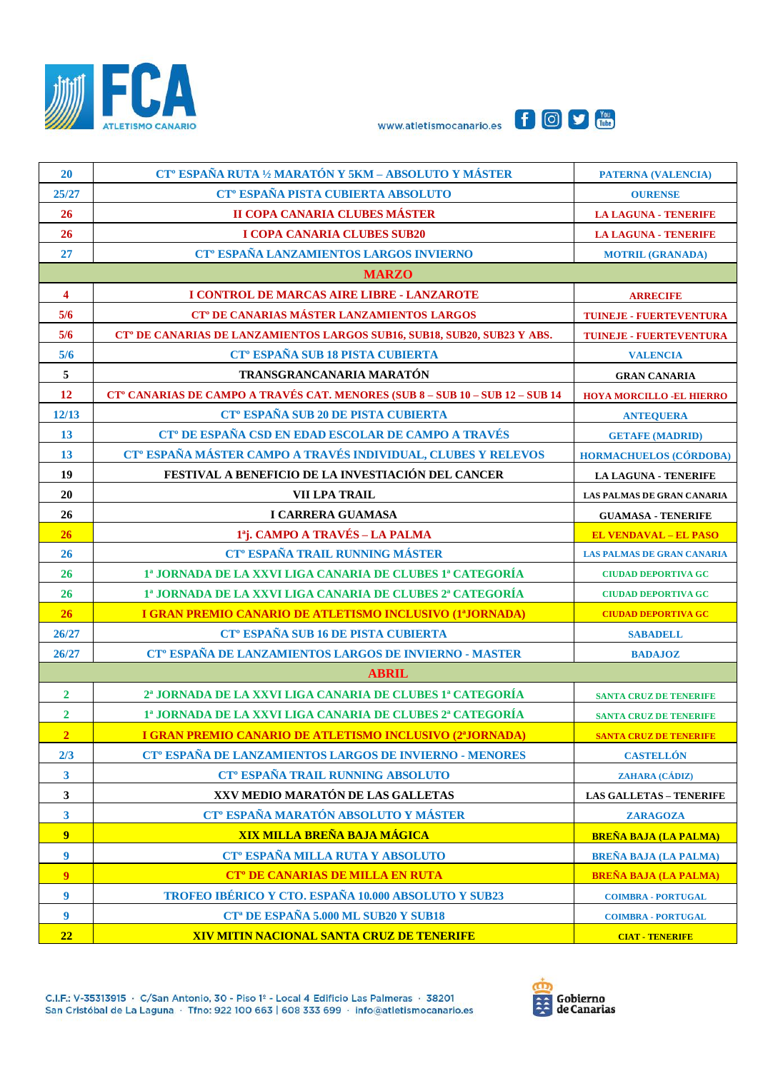





| 20                      | CT <sup>°</sup> ESPAÑA RUTA 1/2 MARATÓN Y 5KM - ABSOLUTO Y MÁSTER                         | <b>PATERNA (VALENCIA)</b>         |  |
|-------------------------|-------------------------------------------------------------------------------------------|-----------------------------------|--|
| 25/27                   | CT <sup>°</sup> ESPAÑA PISTA CUBIERTA ABSOLUTO                                            | <b>OURENSE</b>                    |  |
| <b>26</b>               | II COPA CANARIA CLUBES MÁSTER                                                             | <b>LA LAGUNA - TENERIFE</b>       |  |
| 26                      | <b>I COPA CANARIA CLUBES SUB20</b>                                                        | <b>LA LAGUNA - TENERIFE</b>       |  |
| 27                      | CT <sup>°</sup> ESPAÑA LANZAMIENTOS LARGOS INVIERNO                                       | <b>MOTRIL (GRANADA)</b>           |  |
| <b>MARZO</b>            |                                                                                           |                                   |  |
| 4                       | I CONTROL DE MARCAS AIRE LIBRE - LANZAROTE                                                | <b>ARRECIFE</b>                   |  |
| 5/6                     | CT <sup>°</sup> DE CANARIAS MÁSTER LANZAMIENTOS LARGOS                                    | <b>TUINEJE - FUERTEVENTURA</b>    |  |
| 5/6                     | CT <sup>°</sup> DE CANARIAS DE LANZAMIENTOS LARGOS SUB16, SUB18, SUB20, SUB23 Y ABS.      | <b>TUINEJE - FUERTEVENTURA</b>    |  |
| 5/6                     | CT <sup>°</sup> ESPAÑA SUB 18 PISTA CUBIERTA                                              | <b>VALENCIA</b>                   |  |
| $\overline{5}$          | TRANSGRANCANARIA MARATÓN                                                                  | <b>GRAN CANARIA</b>               |  |
| <b>12</b>               | CT <sup>°</sup> CANARIAS DE CAMPO A TRAVÉS CAT. MENORES (SUB 8 - SUB 10 - SUB 12 - SUB 14 | <b>HOYA MORCILLO -EL HIERRO</b>   |  |
| 12/13                   | CT <sup>°</sup> ESPAÑA SUB 20 DE PISTA CUBIERTA                                           | <b>ANTEQUERA</b>                  |  |
| 13                      | CT <sup>°</sup> DE ESPAÑA CSD EN EDAD ESCOLAR DE CAMPO A TRAVÉS                           | <b>GETAFE (MADRID)</b>            |  |
| 13                      | CT <sup>°</sup> ESPAÑA MÁSTER CAMPO A TRAVÉS INDIVIDUAL, CLUBES Y RELEVOS                 | <b>HORMACHUELOS (CÓRDOBA)</b>     |  |
| 19                      | FESTIVAL A BENEFICIO DE LA INVESTIACIÓN DEL CANCER                                        | <b>LA LAGUNA - TENERIFE</b>       |  |
| 20                      | VII LPA TRAIL                                                                             | <b>LAS PALMAS DE GRAN CANARIA</b> |  |
| 26                      | I CARRERA GUAMASA                                                                         | <b>GUAMASA - TENERIFE</b>         |  |
| 26                      | 1 <sup>a</sup> j. CAMPO A TRAVÉS - LA PALMA                                               | <b>EL VENDAVAL - EL PASO</b>      |  |
| 26                      | <b>CT° ESPAÑA TRAIL RUNNING MÁSTER</b>                                                    | <b>LAS PALMAS DE GRAN CANARIA</b> |  |
| 26                      | 1ª JORNADA DE LA XXVI LIGA CANARIA DE CLUBES 1ª CATEGORÍA                                 | <b>CIUDAD DEPORTIVA GC</b>        |  |
| 26                      | 1ª JORNADA DE LA XXVI LIGA CANARIA DE CLUBES 2ª CATEGORÍA                                 | <b>CIUDAD DEPORTIVA GC</b>        |  |
| 26                      | I GRAN PREMIO CANARIO DE ATLETISMO INCLUSIVO (1ªJORNADA)                                  | <b>CIUDAD DEPORTIVA GC</b>        |  |
| 26/27                   | CT <sup>°</sup> ESPAÑA SUB 16 DE PISTA CUBIERTA                                           | <b>SABADELL</b>                   |  |
| 26/27                   | CT <sup>°</sup> ESPAÑA DE LANZAMIENTOS LARGOS DE INVIERNO - MASTER                        | <b>BADAJOZ</b>                    |  |
|                         | <b>ABRIL</b>                                                                              |                                   |  |
| $\overline{2}$          | 2ª JORNADA DE LA XXVI LIGA CANARIA DE CLUBES 1ª CATEGORÍA                                 | <b>SANTA CRUZ DE TENERIFE</b>     |  |
| $\overline{2}$          | 1ª JORNADA DE LA XXVI LIGA CANARIA DE CLUBES 2ª CATEGORÍA                                 | <b>SANTA CRUZ DE TENERIFE</b>     |  |
| $\overline{2}$          | I GRAN PREMIO CANARIO DE ATLETISMO INCLUSIVO (2ªJORNADA)                                  | <b>SANTA CRUZ DE TENERIFE</b>     |  |
| 2/3                     | CT <sup>°</sup> ESPAÑA DE LANZAMIENTOS LARGOS DE INVIERNO - MENORES                       | <b>CASTELLÓN</b>                  |  |
| $\overline{\mathbf{3}}$ | CT <sup>°</sup> ESPAÑA TRAIL RUNNING ABSOLUTO                                             | ZAHARA (CÁDIZ)                    |  |
| $\mathbf{3}$            | XXV MEDIO MARATÓN DE LAS GALLETAS                                                         | <b>LAS GALLETAS - TENERIFE</b>    |  |
| $\overline{\mathbf{3}}$ | CT <sup>°</sup> ESPAÑA MARATÓN ABSOLUTO Y MÁSTER                                          | <b>ZARAGOZA</b>                   |  |
| $\overline{9}$          | <b>XIX MILLA BREÑA BAJA MÁGICA</b>                                                        | <b>BREÑA BAJA (LA PALMA)</b>      |  |
| 9                       | CT <sup>°</sup> ESPAÑA MILLA RUTA Y ABSOLUTO                                              | <b>BREÑA BAJA (LA PALMA)</b>      |  |
| $\overline{9}$          | <b>CT<sup>°</sup> DE CANARIAS DE MILLA EN RUTA</b>                                        | <b>BREÑA BAJA (LA PALMA)</b>      |  |
| 9                       | TROFEO IBÉRICO Y CTO. ESPAÑA 10.000 ABSOLUTO Y SUB23                                      | <b>COIMBRA - PORTUGAL</b>         |  |
| 9                       | <b>CT<sup>a</sup> DE ESPAÑA 5.000 ML SUB20 Y SUB18</b>                                    | <b>COIMBRA - PORTUGAL</b>         |  |
| 22                      | XIV MITIN NACIONAL SANTA CRUZ DE TENERIFE                                                 | <b>CIAT - TENERIFE</b>            |  |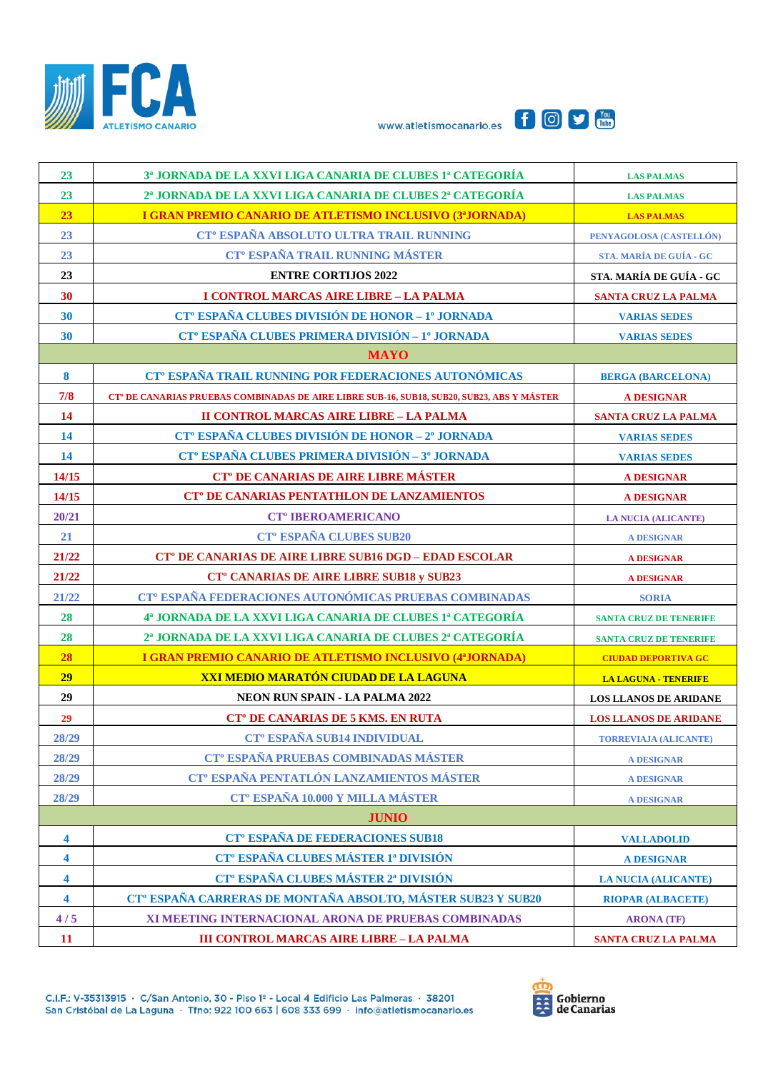





| 23                      | 3ª JORNADA DE LA XXVI LIGA CANARIA DE CLUBES 1ª CATEGORÍA                                              | <b>LAS PALMAS</b>             |  |
|-------------------------|--------------------------------------------------------------------------------------------------------|-------------------------------|--|
| 23                      | 2ª JORNADA DE LA XXVI LIGA CANARIA DE CLUBES 2ª CATEGORÍA                                              | <b>LAS PALMAS</b>             |  |
| 23                      | I GRAN PREMIO CANARIO DE ATLETISMO INCLUSIVO (3ªJORNADA)                                               | <b>LAS PALMAS</b>             |  |
| 23                      | CT <sup>°</sup> ESPAÑA ABSOLUTO ULTRA TRAIL RUNNING                                                    | PENYAGOLOSA (CASTELLÓN)       |  |
| 23                      | CT <sup>°</sup> ESPAÑA TRAIL RUNNING MÁSTER                                                            | STA. MARÍA DE GUÍA - GC       |  |
| 23                      | <b>ENTRE CORTIJOS 2022</b>                                                                             | STA. MARÍA DE GUÍA - GC       |  |
| 30                      | I CONTROL MARCAS AIRE LIBRE - LA PALMA                                                                 | <b>SANTA CRUZ LA PALMA</b>    |  |
| 30                      | CT <sup>°</sup> ESPAÑA CLUBES DIVISIÓN DE HONOR - 1° JORNADA                                           | <b>VARIAS SEDES</b>           |  |
| 30                      | CT <sup>°</sup> ESPAÑA CLUBES PRIMERA DIVISIÓN - 1º JORNADA                                            | <b>VARIAS SEDES</b>           |  |
| <b>MAYO</b>             |                                                                                                        |                               |  |
| $\boldsymbol{8}$        | CT <sup>°</sup> ESPAÑA TRAIL RUNNING POR FEDERACIONES AUTONÓMICAS                                      | <b>BERGA (BARCELONA)</b>      |  |
| 7/8                     | CT <sup>®</sup> DE CANARIAS PRUEBAS COMBINADAS DE AIRE LIBRE SUB-16, SUB18, SUB20, SUB23, ABS Y MÁSTER | <b>A DESIGNAR</b>             |  |
| 14                      | <b>II CONTROL MARCAS AIRE LIBRE - LA PALMA</b>                                                         | <b>SANTA CRUZ LA PALMA</b>    |  |
| 14                      | CT <sup>°</sup> ESPAÑA CLUBES DIVISIÓN DE HONOR - 2° JORNADA                                           | <b>VARIAS SEDES</b>           |  |
| 14                      | CT <sup>°</sup> ESPAÑA CLUBES PRIMERA DIVISIÓN – 3° JORNADA                                            | <b>VARIAS SEDES</b>           |  |
| 14/15                   | <b>CT<sup>°</sup> DE CANARIAS DE AIRE LIBRE MÁSTER</b>                                                 | <b>A DESIGNAR</b>             |  |
| 14/15                   | <b>CT° DE CANARIAS PENTATHLON DE LANZAMIENTOS</b>                                                      | <b>A DESIGNAR</b>             |  |
| 20/21                   | <b>CT<sup>°</sup> IBEROAMERICANO</b>                                                                   | <b>LA NUCIA (ALICANTE)</b>    |  |
| 21                      | <b>CT<sup>°</sup> ESPAÑA CLUBES SUB20</b>                                                              | <b>A DESIGNAR</b>             |  |
| 21/22                   | <b>CT<sup>°</sup> DE CANARIAS DE AIRE LIBRE SUB16 DGD - EDAD ESCOLAR</b>                               | <b>A DESIGNAR</b>             |  |
| 21/22                   | <b>CT° CANARIAS DE AIRE LIBRE SUB18 y SUB23</b>                                                        | <b>A DESIGNAR</b>             |  |
| 21/22                   | CT <sup>°</sup> ESPAÑA FEDERACIONES AUTONÓMICAS PRUEBAS COMBINADAS                                     | <b>SORIA</b>                  |  |
| 28                      | 4ª JORNADA DE LA XXVI LIGA CANARIA DE CLUBES 1ª CATEGORÍA                                              | <b>SANTA CRUZ DE TENERIFE</b> |  |
| 28                      | 2ª JORNADA DE LA XXVI LIGA CANARIA DE CLUBES 2ª CATEGORÍA                                              | <b>SANTA CRUZ DE TENERIFE</b> |  |
| 28                      | I GRAN PREMIO CANARIO DE ATLETISMO INCLUSIVO (4ªJORNADA)                                               | <b>CIUDAD DEPORTIVA GC</b>    |  |
| 29                      | XXI MEDIO MARATÓN CIUDAD DE LA LAGUNA                                                                  | <b>LA LAGUNA - TENERIFE</b>   |  |
| 29                      | <b>NEON RUN SPAIN - LA PALMA 2022</b>                                                                  | <b>LOS LLANOS DE ARIDANE</b>  |  |
| 29                      | <b>CT<sup>°</sup> DE CANARIAS DE 5 KMS. EN RUTA</b>                                                    | <b>LOS LLANOS DE ARIDANE</b>  |  |
| 28/29                   | CT <sup>°</sup> ESPAÑA SUB14 INDIVIDUAL                                                                | <b>TORREVIAJA (ALICANTE)</b>  |  |
| 28/29                   | CT <sup>°</sup> ESPAÑA PRUEBAS COMBINADAS MÁSTER                                                       | <b>A DESIGNAR</b>             |  |
| 28/29                   | CT <sup>°</sup> ESPAÑA PENTATLÓN LANZAMIENTOS MÁSTER                                                   | <b>A DESIGNAR</b>             |  |
| 28/29                   | <b>CT<sup>°</sup> ESPAÑA 10.000 Y MILLA MÁSTER</b>                                                     | <b>A DESIGNAR</b>             |  |
|                         | <b>JUNIO</b>                                                                                           |                               |  |
| $\overline{\mathbf{4}}$ | <b>CT<sup>°</sup> ESPAÑA DE FEDERACIONES SUB18</b>                                                     | <b>VALLADOLID</b>             |  |
| 4                       | <b>CT<sup>°</sup> ESPAÑA CLUBES MÁSTER 1ª DIVISIÓN</b>                                                 | <b>A DESIGNAR</b>             |  |
| $\overline{\mathbf{4}}$ | <b>CT<sup>°</sup> ESPAÑA CLUBES MÁSTER 2ª DIVISIÓN</b>                                                 | <b>LA NUCIA (ALICANTE)</b>    |  |
| $\overline{\mathbf{4}}$ | CT <sup>°</sup> ESPAÑA CARRERAS DE MONTAÑA ABSOLTO, MÁSTER SUB23 Y SUB20                               | <b>RIOPAR (ALBACETE)</b>      |  |
| 4/5                     | XI MEETING INTERNACIONAL ARONA DE PRUEBAS COMBINADAS                                                   | <b>ARONA</b> (TF)             |  |
| 11                      | <b>III CONTROL MARCAS AIRE LIBRE - LA PALMA</b>                                                        | <b>SANTA CRUZ LA PALMA</b>    |  |

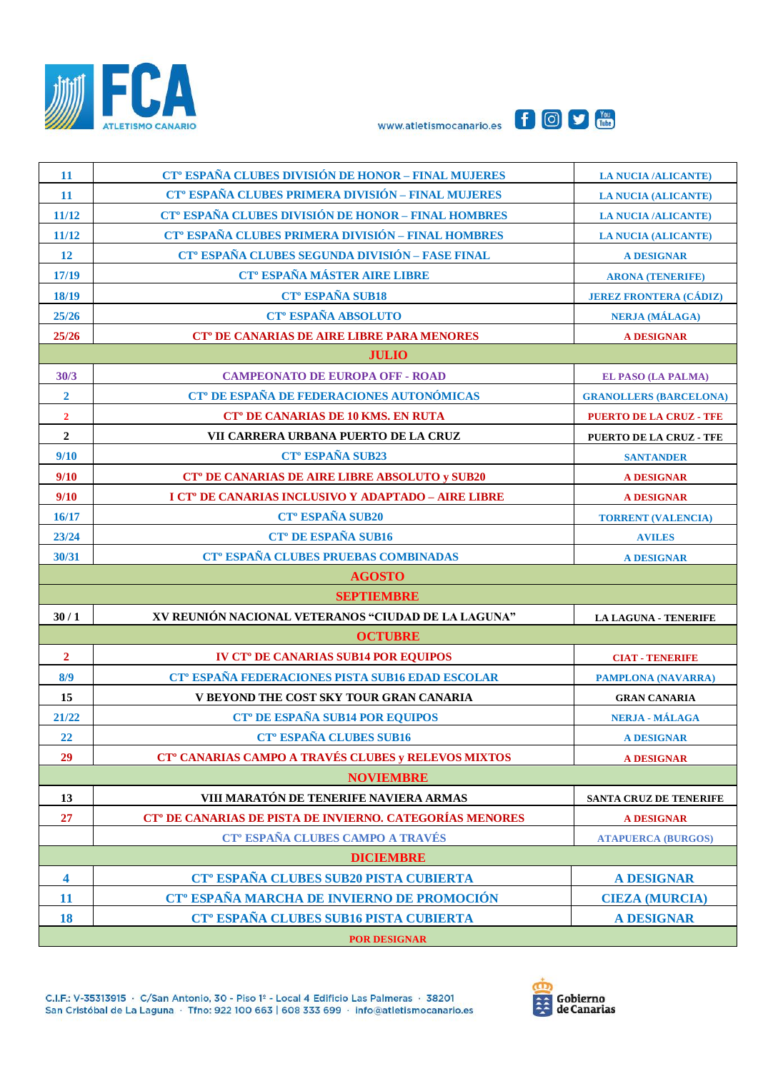





| <b>11</b>           | CT <sup>°</sup> ESPAÑA CLUBES DIVISIÓN DE HONOR - FINAL MUJERES      | <b>LA NUCIA /ALICANTE)</b>     |  |
|---------------------|----------------------------------------------------------------------|--------------------------------|--|
| <b>11</b>           | CT <sup>°</sup> ESPAÑA CLUBES PRIMERA DIVISIÓN - FINAL MUJERES       | <b>LA NUCIA (ALICANTE)</b>     |  |
| 11/12               | CT <sup>°</sup> ESPAÑA CLUBES DIVISIÓN DE HONOR - FINAL HOMBRES      | <b>LA NUCIA /ALICANTE)</b>     |  |
| 11/12               | CT <sup>°</sup> ESPAÑA CLUBES PRIMERA DIVISIÓN - FINAL HOMBRES       | <b>LA NUCIA (ALICANTE)</b>     |  |
| <b>12</b>           | CT <sup>°</sup> ESPAÑA CLUBES SEGUNDA DIVISIÓN - FASE FINAL          | <b>A DESIGNAR</b>              |  |
| 17/19               | <b>CT<sup>°</sup> ESPAÑA MÁSTER AIRE LIBRE</b>                       | <b>ARONA (TENERIFE)</b>        |  |
| 18/19               | <b>CT<sup>°</sup> ESPAÑA SUB18</b>                                   | <b>JEREZ FRONTERA (CÁDIZ)</b>  |  |
| 25/26               | <b>CT<sup>°</sup> ESPAÑA ABSOLUTO</b>                                | <b>NERJA (MÁLAGA)</b>          |  |
| 25/26               | <b>CT<sup>°</sup> DE CANARIAS DE AIRE LIBRE PARA MENORES</b>         | <b>A DESIGNAR</b>              |  |
|                     | <b>JULIO</b>                                                         |                                |  |
| 30/3                | <b>CAMPEONATO DE EUROPA OFF - ROAD</b>                               | <b>EL PASO (LA PALMA)</b>      |  |
| $\overline{2}$      | CT <sup>°</sup> DE ESPAÑA DE FEDERACIONES AUTONÓMICAS                | <b>GRANOLLERS (BARCELONA)</b>  |  |
| $\overline{2}$      | <b>CT<sup>°</sup> DE CANARIAS DE 10 KMS. EN RUTA</b>                 | <b>PUERTO DE LA CRUZ - TFE</b> |  |
| $\mathbf 2$         | VII CARRERA URBANA PUERTO DE LA CRUZ                                 | PUERTO DE LA CRUZ - TFE        |  |
| 9/10                | <b>CT<sup>°</sup> ESPAÑA SUB23</b>                                   | <b>SANTANDER</b>               |  |
| 9/10                | <b>CT<sup>°</sup> DE CANARIAS DE AIRE LIBRE ABSOLUTO y SUB20</b>     | <b>A DESIGNAR</b>              |  |
| 9/10                | I CT <sup>°</sup> DE CANARIAS INCLUSIVO Y ADAPTADO - AIRE LIBRE      | <b>A DESIGNAR</b>              |  |
| 16/17               | <b>CT<sup>°</sup> ESPAÑA SUB20</b>                                   | <b>TORRENT (VALENCIA)</b>      |  |
| 23/24               | <b>CT<sup>°</sup> DE ESPAÑA SUB16</b>                                | <b>AVILES</b>                  |  |
| 30/31               | <b>CT<sup>°</sup> ESPAÑA CLUBES PRUEBAS COMBINADAS</b>               | <b>A DESIGNAR</b>              |  |
|                     | <b>AGOSTO</b>                                                        |                                |  |
|                     | <b>SEPTIEMBRE</b>                                                    |                                |  |
| 30/1                | XV REUNIÓN NACIONAL VETERANOS "CIUDAD DE LA LAGUNA"                  | <b>LA LAGUNA - TENERIFE</b>    |  |
|                     | <b>OCTUBRE</b>                                                       |                                |  |
| $\overline{2}$      | IV CT <sup>°</sup> DE CANARIAS SUB14 POR EQUIPOS                     | <b>CIAT - TENERIFE</b>         |  |
| 8/9                 | CT <sup>°</sup> ESPAÑA FEDERACIONES PISTA SUB16 EDAD ESCOLAR         | <b>PAMPLONA (NAVARRA)</b>      |  |
| 15                  | V BEYOND THE COST SKY TOUR GRAN CANARIA                              | <b>GRAN CANARIA</b>            |  |
| 21/22               | <b>CT<sup>°</sup> DE ESPAÑA SUB14 POR EQUIPOS</b>                    | NERJA - MÁLAGA                 |  |
| 22                  | <b>CT<sup>°</sup> ESPAÑA CLUBES SUB16</b>                            | <b>A DESIGNAR</b>              |  |
| 29                  | CT <sup>°</sup> CANARIAS CAMPO A TRAVÉS CLUBES y RELEVOS MIXTOS      | <b>A DESIGNAR</b>              |  |
|                     | <b>NOVIEMBRE</b>                                                     |                                |  |
| 13                  | VIII MARATÓN DE TENERIFE NAVIERA ARMAS                               | <b>SANTA CRUZ DE TENERIFE</b>  |  |
| 27                  | CT <sup>°</sup> DE CANARIAS DE PISTA DE INVIERNO. CATEGORÍAS MENORES | <b>A DESIGNAR</b>              |  |
|                     | <b>CT<sup>°</sup> ESPAÑA CLUBES CAMPO A TRAVÉS</b>                   | <b>ATAPUERCA (BURGOS)</b>      |  |
| <b>DICIEMBRE</b>    |                                                                      |                                |  |
| 4                   | CT <sup>°</sup> ESPAÑA CLUBES SUB20 PISTA CUBIERTA                   | <b>A DESIGNAR</b>              |  |
| <b>11</b>           | CT <sup>°</sup> ESPAÑA MARCHA DE INVIERNO DE PROMOCIÓN               | <b>CIEZA (MURCIA)</b>          |  |
| <b>18</b>           | CT <sup>°</sup> ESPAÑA CLUBES SUB16 PISTA CUBIERTA                   | <b>A DESIGNAR</b>              |  |
| <b>POR DESIGNAR</b> |                                                                      |                                |  |